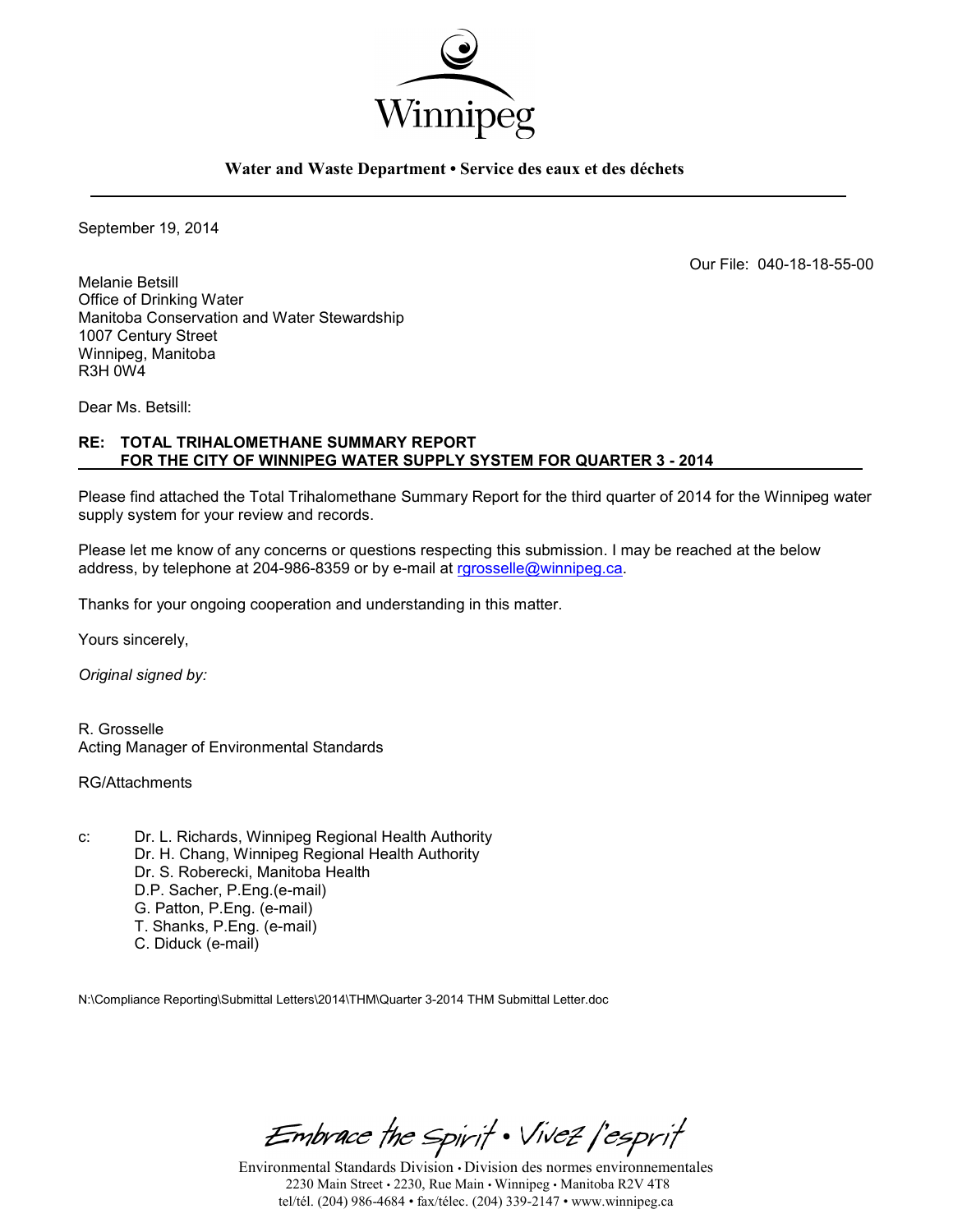

#### **Water and Waste Department • Service des eaux et des déchets**

September 19, 2014

Our File: 040-18-18-55-00

Melanie Betsill Office of Drinking Water Manitoba Conservation and Water Stewardship 1007 Century Street Winnipeg, Manitoba R3H 0W4

Dear Ms. Betsill:

### **RE: TOTAL TRIHALOMETHANE SUMMARY REPORT FOR THE CITY OF WINNIPEG WATER SUPPLY SYSTEM FOR QUARTER 3 - 2014**

Please find attached the Total Trihalomethane Summary Report for the third quarter of 2014 for the Winnipeg water supply system for your review and records.

Please let me know of any concerns or questions respecting this submission. I may be reached at the below address, by telephone at 204-986-8359 or by e-mail at [rgrosselle@winnipeg.ca.](mailto:rgrosselle@winnipeg.ca)

Thanks for your ongoing cooperation and understanding in this matter.

Yours sincerely,

*Original signed by:* 

R. Grosselle Acting Manager of Environmental Standards

RG/Attachments

c: Dr. L. Richards, Winnipeg Regional Health Authority Dr. H. Chang, Winnipeg Regional Health Authority Dr. S. Roberecki, Manitoba Health D.P. Sacher, P.Eng.(e-mail) G. Patton, P.Eng. (e-mail) T. Shanks, P.Eng. (e-mail) C. Diduck (e-mail)

N:\Compliance Reporting\Submittal Letters\2014\THM\Quarter 3-2014 THM Submittal Letter.doc

Embrace the Spirit . Vivez l'esprit

Environmental Standards Division • Division des normes environnementales 2230 Main Street • 2230, Rue Main • Winnipeg • Manitoba R2V 4T8 tel/tél. (204) 986-4684 • fax/télec. (204) 339-2147 • www.winnipeg.ca